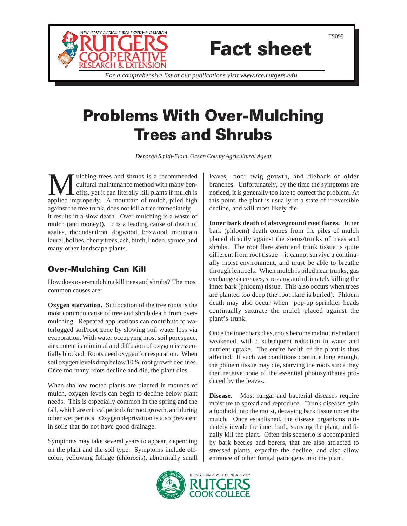

# Fact sheet

*For a comprehensive list of our publications visit www.rce.rutgers.edu*

## Problems With Over-Mulching Trees and Shrubs

*Deborah Smith-Fiola, Ocean County Agricultural Agent*

We ulching trees and shrubs is a recommended<br>cultural maintenance method with many ben-<br>effits, yet it can literally kill plants if mulch is<br>applied improperly. A mountain of mulch pilod bight cultural maintenance method with many benefits, yet it can literally kill plants if mulch is applied improperly. A mountain of mulch, piled high against the tree trunk, does not kill a tree immediately it results in a slow death. Over-mulching is a waste of mulch (and money!). It is a leading cause of death of azalea, rhododendron, dogwood, boxwood, mountain laurel, hollies, cherry trees, ash, birch, linden, spruce, and many other landscape plants.

### Over-Mulching Can Kill

How does over-mulching kill trees and shrubs? The most common causes are:

**Oxygen starvation.** Suffocation of the tree roots is the most common cause of tree and shrub death from overmulching. Repeated applications can contribute to waterlogged soil/root zone by slowing soil water loss via evaporation. With water occupying most soil porespace, air content is mimimal and diffusion of oxygen is essentially blocked. Roots need oxygen for respiration. When soil oxygen levels drop below 10%, root growth declines. Once too many roots decline and die, the plant dies.

When shallow rooted plants are planted in mounds of mulch, oxygen levels can begin to decline below plant needs. This is especially common in the spring and the fall, which are critical periods for root growth, and during other wet periods. Oxygen deprivation is also prevalent in soils that do not have good drainage.

Symptoms may take several years to appear, depending on the plant and the soil type. Symptoms include offcolor, yellowing foliage (chlorosis), abnormally small leaves, poor twig growth, and dieback of older branches. Unfortunately, by the time the symptoms are noticed, it is generally too late to correct the problem. At this point, the plant is usually in a state of irreversible decline, and will most likely die.

**Inner bark death of aboveground root flares.** Inner bark (phloem) death comes from the piles of mulch placed directly against the stems/trunks of trees and shrubs. The root flare stem and trunk tissue is quite different from root tissue—it cannot survive a continually moist environment, and must be able to breathe through lenticels. When mulch is piled near trunks, gas exchange decreases, stressing and ultimately killing the inner bark (phloem) tissue. This also occurs when trees are planted too deep (the root flare is buried). Phloem death may also occur when pop-up sprinkler heads continually saturate the mulch placed against the plant's trunk.

Once the inner bark dies, roots become malnourished and weakened, with a subsequent reduction in water and nutrient uptake. The entire health of the plant is thus affected. If such wet conditions continue long enough, the phloem tissue may die, starving the roots since they then receive none of the essential photosynthates produced by the leaves.

**Disease.** Most fungal and bacterial diseases require moisture to spread and reproduce. Trunk diseases gain a foothold into the moist, decaying bark tissue under the mulch. Once established, the disease organisms ultimately invade the inner bark, starving the plant, and finally kill the plant. Often this scenerio is accompanied by bark beetles and borers, that are also attracted to stressed plants, expedite the decline, and also allow entrance of other fungal pathogens into the plant.